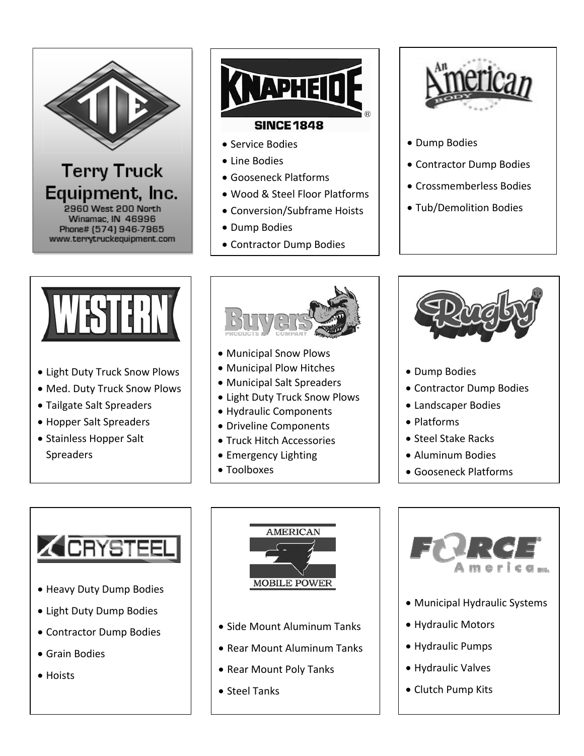

## **Terry Truck** Equipment, Inc. 2960 West 200 North Winamac, IN 46996 Phone# (574) 946-7965 www.terrytruckequipment.com



## • Service Bodies

- Line Bodies
- Gooseneck Platforms
- Wood & Steel Floor Platforms
- Conversion/Subframe Hoists
- Dump Bodies
- Contractor Dump Bodies



- Dump Bodies
- Contractor Dump Bodies
- Crossmemberless Bodies
- Tub/Demolition Bodies



- Light Duty Truck Snow Plows
- Med. Duty Truck Snow Plows
- Tailgate Salt Spreaders
- Hopper Salt Spreaders
- Stainless Hopper Salt **Spreaders**



- Municipal Snow Plows
- Municipal Plow Hitches
- Municipal Salt Spreaders
- Light Duty Truck Snow Plows
- Hydraulic Components
- Driveline Components
- **Truck Hitch Accessories**
- Emergency Lighting
- Toolboxes



- Dump Bodies
- Contractor Dump Bodies
- Landscaper Bodies
- Platforms
- Steel Stake Racks
- Aluminum Bodies
- Gooseneck Platforms



- Heavy Duty Dump Bodies
- Light Duty Dump Bodies
- Contractor Dump Bodies
- Grain Bodies
- Hoists



- Side Mount Aluminum Tanks
- Rear Mount Aluminum Tanks
- Rear Mount Poly Tanks
- Steel Tanks



- Municipal Hydraulic Systems
- Hydraulic Motors
- Hydraulic Pumps
- Hydraulic Valves
- Clutch Pump Kits